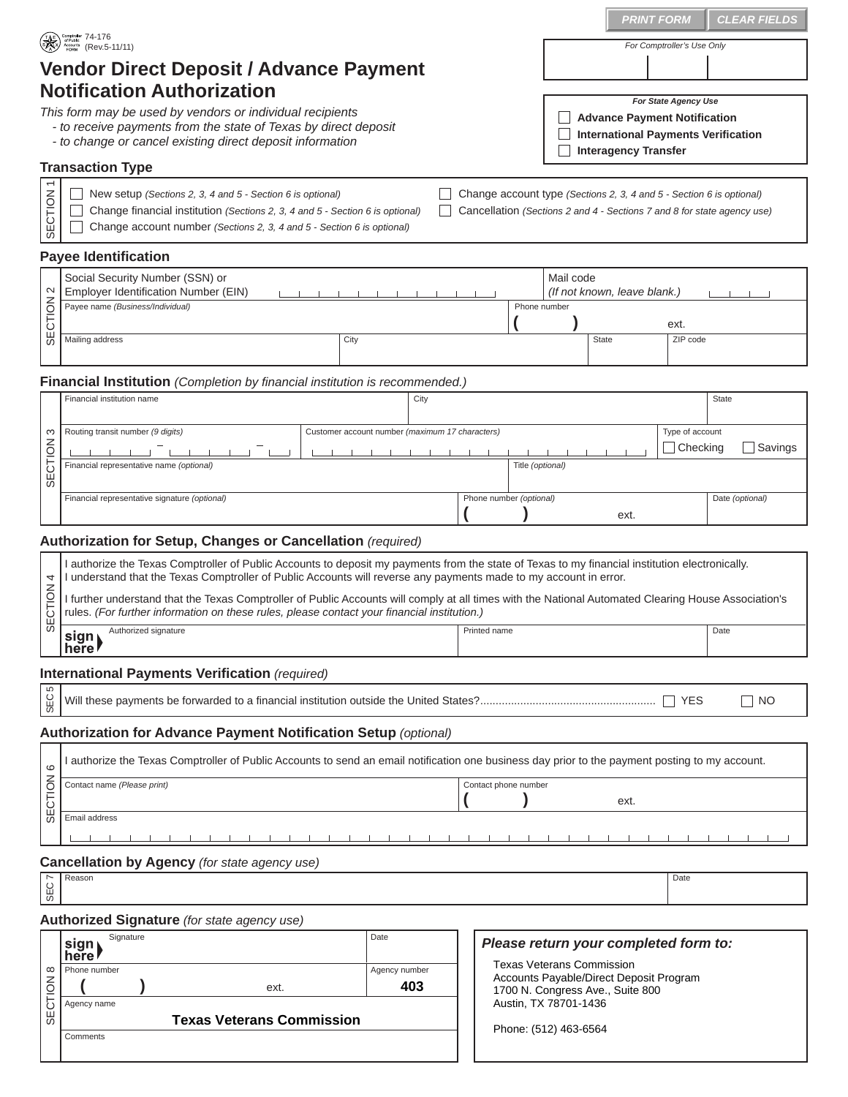|                                                                                                                                                                                                                                                                                                               |                                                                                                                                                                                                                                                                                                                                                                            |      |  |  |                                 |              |                                                                             |                                       | <b>PRINT FORM</b> | <b>CLEAR FIELDS</b>        |  |
|---------------------------------------------------------------------------------------------------------------------------------------------------------------------------------------------------------------------------------------------------------------------------------------------------------------|----------------------------------------------------------------------------------------------------------------------------------------------------------------------------------------------------------------------------------------------------------------------------------------------------------------------------------------------------------------------------|------|--|--|---------------------------------|--------------|-----------------------------------------------------------------------------|---------------------------------------|-------------------|----------------------------|--|
| Comptroller 74-176<br>Accounts (Rev.5-11/11)                                                                                                                                                                                                                                                                  |                                                                                                                                                                                                                                                                                                                                                                            |      |  |  |                                 |              |                                                                             |                                       |                   | For Comptroller's Use Only |  |
| <b>Vendor Direct Deposit / Advance Payment</b>                                                                                                                                                                                                                                                                |                                                                                                                                                                                                                                                                                                                                                                            |      |  |  |                                 |              |                                                                             |                                       |                   |                            |  |
| <b>Notification Authorization</b><br>For State Agency Use                                                                                                                                                                                                                                                     |                                                                                                                                                                                                                                                                                                                                                                            |      |  |  |                                 |              |                                                                             |                                       |                   |                            |  |
| This form may be used by vendors or individual recipients<br><b>Advance Payment Notification</b><br>- to receive payments from the state of Texas by direct deposit<br><b>International Payments Verification</b><br>- to change or cancel existing direct deposit information<br><b>Interagency Transfer</b> |                                                                                                                                                                                                                                                                                                                                                                            |      |  |  |                                 |              |                                                                             |                                       |                   |                            |  |
| <b>Transaction Type</b>                                                                                                                                                                                                                                                                                       |                                                                                                                                                                                                                                                                                                                                                                            |      |  |  |                                 |              |                                                                             |                                       |                   |                            |  |
| SECTION                                                                                                                                                                                                                                                                                                       | New setup (Sections 2, 3, 4 and 5 - Section 6 is optional)<br>Change account type (Sections 2, 3, 4 and $5$ - Section 6 is optional)<br>Change financial institution (Sections 2, 3, 4 and 5 - Section 6 is optional)<br>Cancellation (Sections 2 and 4 - Sections 7 and 8 for state agency use)<br>Change account number (Sections 2, 3, 4 and 5 - Section 6 is optional) |      |  |  |                                 |              |                                                                             |                                       |                   |                            |  |
| <b>Payee Identification</b>                                                                                                                                                                                                                                                                                   |                                                                                                                                                                                                                                                                                                                                                                            |      |  |  |                                 |              |                                                                             |                                       |                   |                            |  |
| $\sim$                                                                                                                                                                                                                                                                                                        | Social Security Number (SSN) or<br>Employer Identification Number (EIN)<br>Payee name (Business/Individual)                                                                                                                                                                                                                                                                |      |  |  |                                 | Phone number | Mail code<br>(If not known, leave blank.)                                   |                                       |                   |                            |  |
| SECTION                                                                                                                                                                                                                                                                                                       |                                                                                                                                                                                                                                                                                                                                                                            |      |  |  |                                 |              |                                                                             |                                       | ext.              |                            |  |
|                                                                                                                                                                                                                                                                                                               | Mailing address<br>City                                                                                                                                                                                                                                                                                                                                                    |      |  |  |                                 |              |                                                                             | <b>State</b>                          |                   | ZIP code                   |  |
| <b>Financial Institution</b> (Completion by financial institution is recommended.)                                                                                                                                                                                                                            |                                                                                                                                                                                                                                                                                                                                                                            |      |  |  |                                 |              |                                                                             |                                       |                   |                            |  |
|                                                                                                                                                                                                                                                                                                               | Financial institution name<br>City<br><b>State</b>                                                                                                                                                                                                                                                                                                                         |      |  |  |                                 |              |                                                                             |                                       |                   |                            |  |
| ω                                                                                                                                                                                                                                                                                                             | Routing transit number (9 digits)<br>Customer account number (maximum 17 characters)                                                                                                                                                                                                                                                                                       |      |  |  |                                 |              |                                                                             |                                       |                   | Type of account            |  |
|                                                                                                                                                                                                                                                                                                               |                                                                                                                                                                                                                                                                                                                                                                            |      |  |  |                                 |              |                                                                             |                                       |                   | Checking<br>Savings        |  |
| ECTION<br>$\sigma$                                                                                                                                                                                                                                                                                            | Title (optional)<br>Financial representative name (optional)                                                                                                                                                                                                                                                                                                               |      |  |  |                                 |              |                                                                             |                                       |                   |                            |  |
|                                                                                                                                                                                                                                                                                                               | Financial representative signature (optional)                                                                                                                                                                                                                                                                                                                              |      |  |  | Phone number (optional)<br>ext. |              |                                                                             |                                       |                   | Date (optional)            |  |
|                                                                                                                                                                                                                                                                                                               |                                                                                                                                                                                                                                                                                                                                                                            |      |  |  |                                 |              |                                                                             |                                       |                   |                            |  |
| Authorization for Setup, Changes or Cancellation (required)<br>I authorize the Texas Comptroller of Public Accounts to deposit my payments from the state of Texas to my financial institution electronically.                                                                                                |                                                                                                                                                                                                                                                                                                                                                                            |      |  |  |                                 |              |                                                                             |                                       |                   |                            |  |
| 4                                                                                                                                                                                                                                                                                                             | I understand that the Texas Comptroller of Public Accounts will reverse any payments made to my account in error.                                                                                                                                                                                                                                                          |      |  |  |                                 |              |                                                                             |                                       |                   |                            |  |
| ECTION                                                                                                                                                                                                                                                                                                        | I further understand that the Texas Comptroller of Public Accounts will comply at all times with the National Automated Clearing House Association's<br>rules. (For further information on these rules, please contact your financial institution.)                                                                                                                        |      |  |  |                                 |              |                                                                             |                                       |                   |                            |  |
| S                                                                                                                                                                                                                                                                                                             | Authorized signature<br>sign<br>here!                                                                                                                                                                                                                                                                                                                                      |      |  |  | Date<br>Printed name            |              |                                                                             |                                       |                   |                            |  |
| International Payments Verification (required)                                                                                                                                                                                                                                                                |                                                                                                                                                                                                                                                                                                                                                                            |      |  |  |                                 |              |                                                                             |                                       |                   |                            |  |
| S<br>SEC<br>∣ YES<br>  NO                                                                                                                                                                                                                                                                                     |                                                                                                                                                                                                                                                                                                                                                                            |      |  |  |                                 |              |                                                                             |                                       |                   |                            |  |
| <b>Authorization for Advance Payment Notification Setup (optional)</b>                                                                                                                                                                                                                                        |                                                                                                                                                                                                                                                                                                                                                                            |      |  |  |                                 |              |                                                                             |                                       |                   |                            |  |
|                                                                                                                                                                                                                                                                                                               | I authorize the Texas Comptroller of Public Accounts to send an email notification one business day prior to the payment posting to my account.                                                                                                                                                                                                                            |      |  |  |                                 |              |                                                                             |                                       |                   |                            |  |
| ဖ                                                                                                                                                                                                                                                                                                             | Contact name (Please print)<br>Contact phone number                                                                                                                                                                                                                                                                                                                        |      |  |  |                                 |              |                                                                             |                                       |                   |                            |  |
| SECTION                                                                                                                                                                                                                                                                                                       | ext.<br>Email address                                                                                                                                                                                                                                                                                                                                                      |      |  |  |                                 |              |                                                                             |                                       |                   |                            |  |
|                                                                                                                                                                                                                                                                                                               |                                                                                                                                                                                                                                                                                                                                                                            |      |  |  |                                 |              |                                                                             |                                       |                   |                            |  |
| Cancellation by Agency (for state agency use)                                                                                                                                                                                                                                                                 |                                                                                                                                                                                                                                                                                                                                                                            |      |  |  |                                 |              |                                                                             |                                       |                   |                            |  |
| SEC                                                                                                                                                                                                                                                                                                           | Reason                                                                                                                                                                                                                                                                                                                                                                     |      |  |  |                                 |              |                                                                             |                                       | Date              |                            |  |
|                                                                                                                                                                                                                                                                                                               | Authorized Signature (for state agency use)                                                                                                                                                                                                                                                                                                                                |      |  |  |                                 |              |                                                                             |                                       |                   |                            |  |
|                                                                                                                                                                                                                                                                                                               | Signature<br>sign                                                                                                                                                                                                                                                                                                                                                          | Date |  |  |                                 |              |                                                                             | Please return your completed form to: |                   |                            |  |
| $\infty$                                                                                                                                                                                                                                                                                                      | here <b>r</b><br>Phone number<br>Agency number                                                                                                                                                                                                                                                                                                                             |      |  |  |                                 |              | <b>Texas Veterans Commission</b>                                            |                                       |                   |                            |  |
|                                                                                                                                                                                                                                                                                                               | 403<br>ext.<br>Agency name<br><b>Texas Veterans Commission</b>                                                                                                                                                                                                                                                                                                             |      |  |  |                                 |              | Accounts Payable/Direct Deposit Program<br>1700 N. Congress Ave., Suite 800 |                                       |                   |                            |  |
| SECTION                                                                                                                                                                                                                                                                                                       |                                                                                                                                                                                                                                                                                                                                                                            |      |  |  |                                 |              | Austin, TX 78701-1436                                                       |                                       |                   |                            |  |
|                                                                                                                                                                                                                                                                                                               | Comments                                                                                                                                                                                                                                                                                                                                                                   |      |  |  |                                 |              | Phone: (512) 463-6564                                                       |                                       |                   |                            |  |
|                                                                                                                                                                                                                                                                                                               |                                                                                                                                                                                                                                                                                                                                                                            |      |  |  |                                 |              |                                                                             |                                       |                   |                            |  |